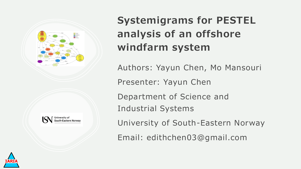



#### **Systemigrams for PESTEL analysis of an offshore windfarm system**

Authors: Yayun Chen, Mo Mansouri

Presenter: Yayun Chen

Department of Science and

Industrial Systems

University of South-Eastern Norway

Email: edithchen03@gmail.com

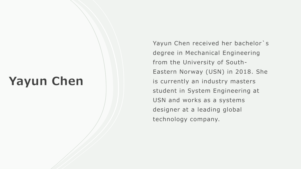## **Yayun Chen**

Yayun Chen received her bachelor`s degree in Mechanical Engineering from the University of South-Eastern Norway (USN) in 2018. She is currently an industry masters student in System Engineering at USN and works as a systems designer at a leading global technology company.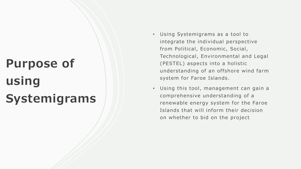# **Purpose of using Systemigrams**

- Using Systemigrams as a tool to integrate the individual perspective from Political, Economic, Social, Technological, Environmental and Legal (PESTEL) aspects into a holistic understanding of an offshore wind farm system for Faroe Islands.
- Using this tool, management can gain a comprehensive understanding of a renewable energy system for the Faroe Islands that will inform their decision on whether to bid on the project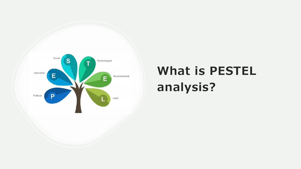

## **What is PESTEL analysis?**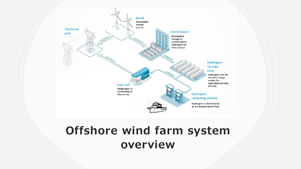

### **Offshore wind farm system overview**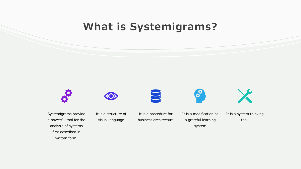#### **What is Systemigrams?**



a powerful tool for the analysis of systems first described in written form.

visual language

business architecture

a grateful learning system

It is a system thinking tool.

X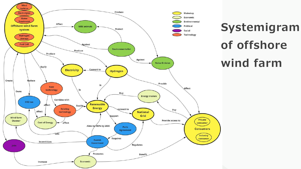

**Systemigram of offshore wind farm**